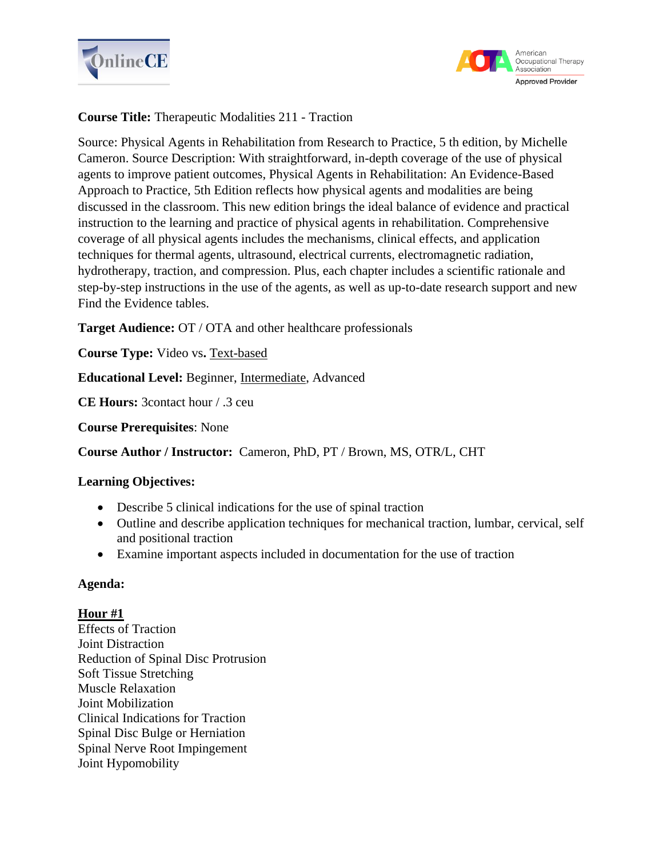



# **Course Title:** Therapeutic Modalities 211 - Traction

Source: Physical Agents in Rehabilitation from Research to Practice, 5 th edition, by Michelle Cameron. Source Description: With straightforward, in-depth coverage of the use of physical agents to improve patient outcomes, Physical Agents in Rehabilitation: An Evidence-Based Approach to Practice, 5th Edition reflects how physical agents and modalities are being discussed in the classroom. This new edition brings the ideal balance of evidence and practical instruction to the learning and practice of physical agents in rehabilitation. Comprehensive coverage of all physical agents includes the mechanisms, clinical effects, and application techniques for thermal agents, ultrasound, electrical currents, electromagnetic radiation, hydrotherapy, traction, and compression. Plus, each chapter includes a scientific rationale and step-by-step instructions in the use of the agents, as well as up-to-date research support and new Find the Evidence tables.

**Target Audience:** OT / OTA and other healthcare professionals

**Course Type:** Video vs**.** Text-based

**Educational Level:** Beginner, Intermediate, Advanced

**CE Hours:** 3contact hour / .3 ceu

**Course Prerequisites**: None

**Course Author / Instructor:** Cameron, PhD, PT / Brown, MS, OTR/L, CHT

## **Learning Objectives:**

- Describe 5 clinical indications for the use of spinal traction
- Outline and describe application techniques for mechanical traction, lumbar, cervical, self and positional traction
- Examine important aspects included in documentation for the use of traction

## **Agenda:**

## **Hour #1**

Effects of Traction Joint Distraction Reduction of Spinal Disc Protrusion Soft Tissue Stretching Muscle Relaxation Joint Mobilization Clinical Indications for Traction Spinal Disc Bulge or Herniation Spinal Nerve Root Impingement Joint Hypomobility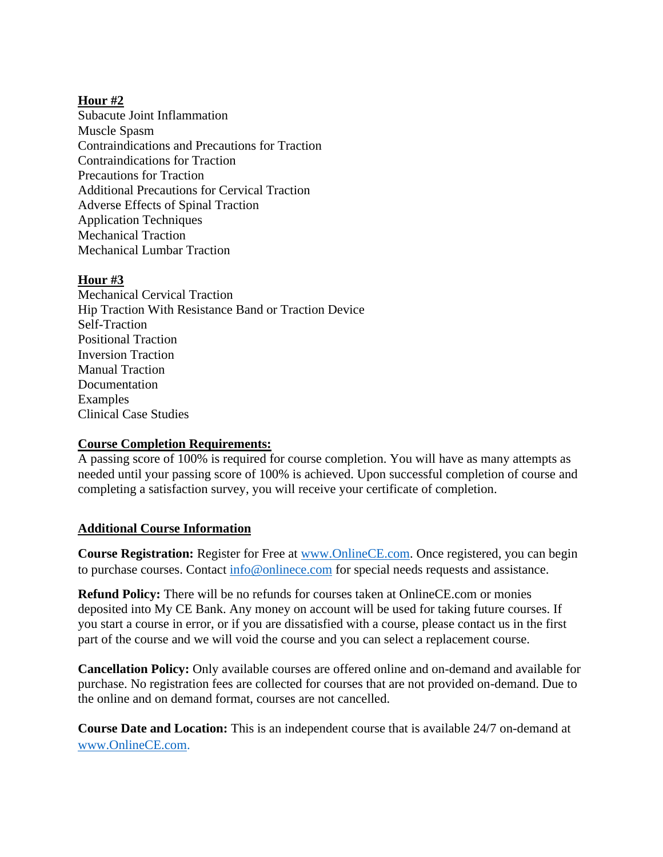## **Hour #2**

Subacute Joint Inflammation Muscle Spasm Contraindications and Precautions for Traction Contraindications for Traction Precautions for Traction Additional Precautions for Cervical Traction Adverse Effects of Spinal Traction Application Techniques Mechanical Traction Mechanical Lumbar Traction

## **Hour #3**

Mechanical Cervical Traction Hip Traction With Resistance Band or Traction Device Self-Traction Positional Traction Inversion Traction Manual Traction Documentation Examples Clinical Case Studies

## **Course Completion Requirements:**

A passing score of 100% is required for course completion. You will have as many attempts as needed until your passing score of 100% is achieved. Upon successful completion of course and completing a satisfaction survey, you will receive your certificate of completion.

## **Additional Course Information**

**Course Registration:** Register for Free at [www.OnlineCE.com.](http://www.onlinece.com/) Once registered, you can begin to purchase courses. Contact [info@onlinece.com](mailto:info@onlinece.com) for special needs requests and assistance.

**Refund Policy:** There will be no refunds for courses taken at OnlineCE.com or monies deposited into My CE Bank. Any money on account will be used for taking future courses. If you start a course in error, or if you are dissatisfied with a course, please contact us in the first part of the course and we will void the course and you can select a replacement course.

**Cancellation Policy:** Only available courses are offered online and on-demand and available for purchase. No registration fees are collected for courses that are not provided on-demand. Due to the online and on demand format, courses are not cancelled.

**Course Date and Location:** This is an independent course that is available 24/7 on-demand at [www.OnlineCE.com.](http://www.onlinece.com/)